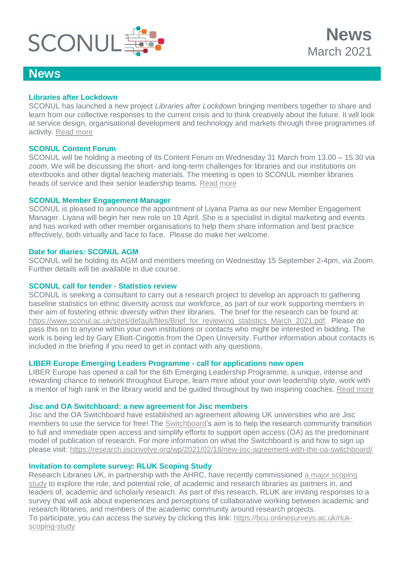

## **[Libraries after Lockdown](https://www.sconul.ac.uk/page/libraries-after-lockdown-project)**

SCONUL has launched a new project *Libraries after Lockdown* bringing members together to share and learn from our collective responses to the current crisis and to think creatively about the future. It will look at service design, organisational development and technology and markets through three programmes of activity. [Read more](https://www.sconul.ac.uk/page/libraries-after-lockdown-project)

#### **SCONUL Content Forum**

SCONUL will be holding a meeting of its Content Forum on Wednesday 31 March from 13.00 – 15.30 via zoom. We will be discussing the short- and long-term challenges for libraries and our institutions on etextbooks and other digital teaching materials. The meeting is open to SCONUL member libraries heads of service and their senior leadership teams. [Read more](https://www.sconul.ac.uk/event/sconul-content-forum-0)

#### **SCONUL Member Engagement Manager**

SCONUL is pleased to announce the appointment of Liyana Pama as our new Member Engagement Manager. Liyana will begin her new role on 19 April. She is a specialist in digital marketing and events and has worked with other member organisations to help them share information and best practice effectively, both virtually and face to face. Please do make her welcome.

## **Date for diaries: SCONUL AGM**

SCONUL will be holding its AGM and members meeting on Wednesday 15 September 2-4pm, via Zoom. Further details will be available in due course.

## **SCONUL call for tender - Statistics review**

SCONUL is seeking a consultant to carry out a research project to develop an approach to gathering baseline statistics on ethnic diversity across our workforce, as part of our work supporting members in their aim of fostering ethnic diversity within their libraries. The brief for the research can be found at: [https://www.sconul.ac.uk/sites/default/files/Brief\\_for\\_reviewing\\_statistics\\_March\\_2021.pdf.](https://www.sconul.ac.uk/sites/default/files/Brief_for_reviewing_statistics_March_2021.pdf) Please do pass this on to anyone within your own institutions or contacts who might be interested in bidding. The work is being led by Gary Elliott-Cirigottis from the Open University. Further information about contacts is included in the briefing if you need to get in contact with any questions.

#### **LIBER Europe Emerging Leaders Programme - call for applications now open**

LIBER Europe has opened a call for the 6th Emerging Leadership Programme, a unique, intense and rewarding chance to network throughout Europe, learn more about your own leadership style, work with a mentor of high rank in the library world and be guided throughout by two inspiring coaches. [Read more](https://libereurope.eu/article/liber-emerging-leaders-programme-call-for-applications-now-open-cohort-6/)

#### **Jisc and OA Switchboard: a new agreement for Jisc members**

Jisc and the OA Switchboard have established an agreement allowing UK universities who are Jisc members to use the service for free! The [Switchboard'](https://www.oaswitchboard.org/)s aim is to help the research community transition to full and immediate open access and simplify efforts to support open access (OA) as the predominant model of publication of research. For more information on what the Switchboard is and how to sign up please visit:<https://research.jiscinvolve.org/wp/2021/02/18/new-jisc-agreement-with-the-oa-switchboard/>

#### **Invitation to complete survey: RLUK Scoping Study**

Research Libraries UK, in partnership with the AHRC, have recently commissioned [a major scoping](https://bit.ly/3qgYoCP)  [study](https://bit.ly/3qgYoCP) to explore the role, and potential role, of academic and research libraries as partners in, and leaders of, academic and scholarly research. As part of this research, RLUK are inviting responses to a survey that will ask about experiences and perceptions of collaborative working between academic and research libraries, and members of the academic community around research projects.

To participate, you can access the survey by clicking this link: [https://bcu.onlinesurveys.ac.uk/rluk](https://bcu.onlinesurveys.ac.uk/rluk-scoping-study)[scoping-study](https://bcu.onlinesurveys.ac.uk/rluk-scoping-study)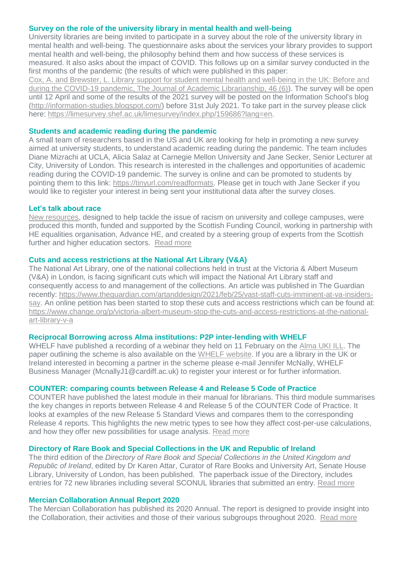#### **Survey on the role of the university library in mental health and well-being**

University libraries are being invited to participate in a survey about the role of the university library in mental health and well-being. The questionnaire asks about the services your library provides to support mental health and well-being, the philosophy behind them and how success of these services is measured. It also asks about the impact of COVID. This follows up on a similar survey conducted in the first months of the pandemic (the results of which were published in this paper:

[Cox, A. and Brewster, L. Library support for student mental health and well-being in the UK: Before and](https://doi.org/10.1016/j.acalib.2020.102256)  [during the COVID-19 pandemic, The Journal of Academic Librarianship, 46 \(6\)\)](https://doi.org/10.1016/j.acalib.2020.102256). The survey will be open until 12 April and some of the results of the 2021 survey will be posted on the Information School's blog [\(http://information-studies.blogspot.com/\)](http://information-studies.blogspot.com/) before 31st July 2021. To take part in the survey please click here: [https://limesurvey.shef.ac.uk/limesurvey/index.php/159686?lang=en.](https://limesurvey.shef.ac.uk/limesurvey/index.php/159686?lang=en)

## **Students and academic reading during the pandemic**

A small team of researchers based in the US and UK are looking for help in promoting a new survey aimed at university students, to understand academic reading during the pandemic. The team includes Diane Mizrachi at UCLA, Alicia Salaz at Carnegie Mellon University and Jane Secker, Senior Lecturer at City, University of London. This research is interested in the challenges and opportunities of academic reading during the COVID-19 pandemic. The survey is online and can be promoted to students by pointing them to this link: [https://tinyurl.com/readformats.](https://tinyurl.com/readformats) Please get in touch with Jane Secker if you would like to register your interest in being sent your institutional data after the survey closes.

#### **Let's talk about race**

[New resources,](http://www.sfc.ac.uk/access-inclusion/equality-diversity/race/race-equality.aspx) designed to help tackle the issue of racism on university and college campuses, were produced this month, funded and supported by the Scottish Funding Council, working in partnership with HE equalities organisation, Advance HE, and created by a steering group of experts from the Scottish further and higher education sectors. [Read more](http://www.sfc.ac.uk/news/2021/news-83455.aspx)

#### **Cuts and access restrictions at the National Art Library (V&A)**

The National Art Library, one of the national collections held in trust at the Victoria & Albert Museum (V&A) in London, is facing significant cuts which will impact the National Art Library staff and consequently access to and management of the collections. An article was published in The Guardian recently: [https://www.theguardian.com/artanddesign/2021/feb/25/vast-staff-cuts-imminent-at-va-insiders](https://www.theguardian.com/artanddesign/2021/feb/25/vast-staff-cuts-imminent-at-va-insiders-say)[say.](https://www.theguardian.com/artanddesign/2021/feb/25/vast-staff-cuts-imminent-at-va-insiders-say) An online petition has been started to stop these cuts and access restrictions which can be found at: [https://www.change.org/p/victoria-albert-museum-stop-the-cuts-and-access-restrictions-at-the-national](https://www.change.org/p/victoria-albert-museum-stop-the-cuts-and-access-restrictions-at-the-national-art-library-v-a)[art-library-v-a](https://www.change.org/p/victoria-albert-museum-stop-the-cuts-and-access-restrictions-at-the-national-art-library-v-a)

#### **Reciprocal Borrowing across Alma institutions: P2P inter-lending with WHELF**

WHELF have published a recording of a webinar they held on 11 February on the [Alma UKI ILL.](https://eur03.safelinks.protection.outlook.com/?url=https%3A%2F%2Fdrive.google.com%2Ffile%2Fd%2F1Ux_lXUsdtzbzPN0M460xC7G4k0R_MzIB%2Fview%3Fusp%3Dsharing&data=04%7C01%7CMcnallyJ1%40cardiff.ac.uk%7Cf7bf3163990a4ec0890308d8cf7fd556%7Cbdb74b3095684856bdbf06759778fcbc%7C1%7C0%7C637487495972708907%7CUnknown%7CTWFpbGZsb3d8eyJWIjoiMC4wLjAwMDAiLCJQIjoiV2luMzIiLCJBTiI6Ik1haWwiLCJXVCI6Mn0%3D%7C1000&sdata=%2FrDuta7YzKron%2B4GDVgeTjNd62S9YoO0R%2FQMpw%2FOYCo%3D&reserved=0) The paper outlining the scheme is also available on the [WHELF website.](https://eur03.safelinks.protection.outlook.com/?url=https%3A%2F%2Fwhelf.ac.uk%2Fwp-content%2Fuploads%2F2021%2F01%2FWHELFs-P2P-Alma-Inter-Lending-Scheme-v2.pdf&data=04%7C01%7CMcnallyJ1%40cardiff.ac.uk%7Cf7bf3163990a4ec0890308d8cf7fd556%7Cbdb74b3095684856bdbf06759778fcbc%7C1%7C0%7C637487495972708907%7CUnknown%7CTWFpbGZsb3d8eyJWIjoiMC4wLjAwMDAiLCJQIjoiV2luMzIiLCJBTiI6Ik1haWwiLCJXVCI6Mn0%3D%7C1000&sdata=LCooP33SA2osgjlDth%2Bauf7GQBuYlWb2MS1HBtfst24%3D&reserved=0) If you are a library in the UK or Ireland interested in becoming a partner in the scheme please e-mail Jennifer McNally, WHELF Business Manager (McnallyJ1@cardiff.ac.uk) to register your interest or for further information.

#### **COUNTER: comparing counts between Release 4 and Release 5 Code of Practice**

COUNTER have published the latest module in their manual for librarians. This third module summarises the key changes in reports between Release 4 and Release 5 of the COUNTER Code of Practice. It looks at examples of the new Release 5 Standard Views and compares them to the corresponding Release 4 reports. This highlights the new metric types to see how they affect cost-per-use calculations, and how they offer new possibilities for usage analysis. [Read more](https://www.projectcounter.org/wp-content/uploads/2021/03/Counter_Comparing_Counts.pdf)

#### **Directory of Rare Book and Special Collections in the UK and Republic of Ireland**

The third edition of the *Directory of Rare Book and Special Collections in the United Kingdom and Republic of Ireland*, edited by Dr Karen Attar, Curator of Rare Books and University Art, Senate House Library, University of London, has been published. The paperback issue of the Directory, includes entries for 72 new libraries including several SCONUL libraries that submitted an entry. [Read more](https://www.facetpublishing.co.uk/page/detail/directory-of-rare-book-and-special-collections-in-the-uk-and-republic-of-ireland/?k=9781783301485)

#### **Mercian Collaboration Annual Report 2020**

The Mercian Collaboration has published its 2020 Annual. The report is designed to provide insight into the Collaboration, their activities and those of their various subgroups throughout 2020. [Read more](https://merciancollaboration.org.uk/sites/default/files/publications/Annual%20Report%202020-FINAL.pdf)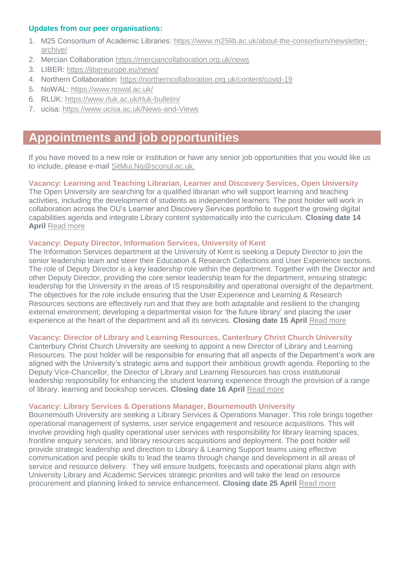## **Updates from our peer organisations:**

- 1. M25 Consortium of Academic Libraries: [https://www.m25lib.ac.uk/about-the-consortium/newsletter](https://www.m25lib.ac.uk/about-the-consortium/newsletter-archive/)[archive/](https://www.m25lib.ac.uk/about-the-consortium/newsletter-archive/)
- 2. Mercian Collaboration <https://merciancollaboration.org.uk/news>
- 3. LIBER:<https://libereurope.eu/news/>
- 4. Northern Collaboration:<https://northerncollaboration.org.uk/content/covid-19>
- 5. NoWAL:<https://www.nowal.ac.uk/>
- 6. RLUK:<https://www.rluk.ac.uk/rluk-bulletin/>
- 7. ucisa:<https://www.ucisa.ac.uk/News-and-Views>

# **Appointments and job opportunities**

If you have moved to a new role or institution or have any senior job opportunities that you would like us to include, please e-mail [SitMui.Ng@sconul.ac.uk.](mailto:SitMui.Ng@sconul.ac.uk)

## **Vacancy: Learning and Teaching Librarian, Learner and Discovery Services, Open University**

The Open University are searching for a qualified librarian who will support learning and teaching activities, including the development of students as independent learners. The post holder will work in collaboration across the OU's Learner and Discovery Services portfolio to support the growing digital capabilities agenda and integrate Library content systematically into the curriculum. **Closing date 14 April** [Read more](http://www.open.ac.uk/about/employment/vacancies/learning-and-teaching-librarian-learner-and-discovery-services-18129)

## **Vacancy: Deputy Director, Information Services, University of Kent**

The Information Services department at the University of Kent is seeking a Deputy Director to join the senior leadership team and steer their Education & Research Collections and User Experience sections. The role of Deputy Director is a key leadership role within the department. Together with the Director and other Deputy Director, providing the core senior leadership team for the department, ensuring strategic leadership for the University in the areas of IS responsibility and operational oversight of the department. The objectives for the role include ensuring that the User Experience and Learning & Research Resources sections are effectively run and that they are both adaptable and resilient to the changing external environment; developing a departmental vision for 'the future library' and placing the user experience at the heart of the department and all its services. **Closing date 15 April** [Read more](https://jobs.kent.ac.uk/vacancy.aspx?ref=CSF-190-21)

## **Vacancy: Director of Library and Learning Resources, Canterbury Christ Church University**

Canterbury Christ Church University are seeking to appoint a new Director of Library and Learning Resources. The post holder will be responsible for ensuring that all aspects of the Department's work are aligned with the University's strategic aims and support their ambitious growth agenda. Reporting to the Deputy Vice-Chancellor, the Director of Library and Learning Resources has cross institutional leadership responsibility for enhancing the student learning experience through the provision of a range of library, learning and bookshop services. **Closing date 16 April** [Read more](https://staffspace.canterbury.ac.uk/ce0226li_webrecruitment/wrd/run/ETREC107GF.open?VACANCY_ID=5320227L1i&WVID=8653200bSZ&LANG=USA)

## **Vacancy: Library Services & Operations Manager, Bournemouth University**

Bournemouth University are seeking a Library Services & Operations Manager. This role brings together operational management of systems, user service engagement and resource acquisitions. This will involve providing high quality operational user services with responsibility for library learning spaces, frontline enquiry services, and library resources acquisitions and deployment. The post holder will provide strategic leadership and direction to Library & Learning Support teams using effective communication and people skills to lead the teams through change and development in all areas of service and resource delivery. They will ensure budgets, forecasts and operational plans align with University Library and Academic Services strategic priorities and will take the lead on resource procurement and planning linked to service enhancement. **Closing date 25 April** [Read more](https://www.bournemouth.ac.uk/library-services-operations-manager)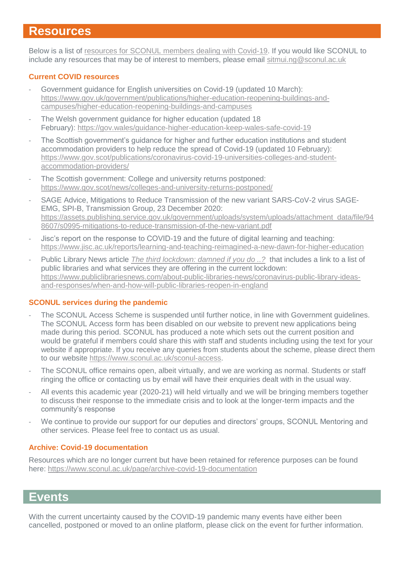## **Resources**

Below is a list of [resources for SCONUL members dealing with Covid-19.](https://www.sconul.ac.uk/page/resources-for-sconul-members-dealing-with-covid-19) If you would like SCONUL to include any resources that may be of interest to members, please email [sitmui.ng@sconul.ac.uk](mailto:sitmui.ng@sconul.ac.uk)

## **Current COVID resources**

- Government guidance for English universities on Covid-19 (updated 10 March): [https://www.gov.uk/government/publications/higher-education-reopening-buildings-and](https://www.gov.uk/government/publications/higher-education-reopening-buildings-and-campuses/higher-education-reopening-buildings-and-campuses)[campuses/higher-education-reopening-buildings-and-campuses](https://www.gov.uk/government/publications/higher-education-reopening-buildings-and-campuses/higher-education-reopening-buildings-and-campuses)
- The Welsh government guidance for higher education (updated 18 February): <https://gov.wales/guidance-higher-education-keep-wales-safe-covid-19>
- The Scottish government's guidance for higher and further education institutions and student accommodation providers to help reduce the spread of Covid-19 (updated 10 February): [https://www.gov.scot/publications/coronavirus-covid-19-universities-colleges-and-student](https://www.gov.scot/publications/coronavirus-covid-19-universities-colleges-and-student-accommodation-providers/)[accommodation-providers/](https://www.gov.scot/publications/coronavirus-covid-19-universities-colleges-and-student-accommodation-providers/)
- The Scottish government: College and university returns postponed: <https://www.gov.scot/news/colleges-and-university-returns-postponed/>
- SAGE Advice, Mitigations to Reduce Transmission of the new variant SARS-CoV-2 virus SAGE-EMG, SPI-B, Transmission Group, 23 December 2020: [https://assets.publishing.service.gov.uk/government/uploads/system/uploads/attachment\\_data/file/94](https://assets.publishing.service.gov.uk/government/uploads/system/uploads/attachment_data/file/948607/s0995-mitigations-to-reduce-transmission-of-the-new-variant.pdf) [8607/s0995-mitigations-to-reduce-transmission-of-the-new-variant.pdf](https://assets.publishing.service.gov.uk/government/uploads/system/uploads/attachment_data/file/948607/s0995-mitigations-to-reduce-transmission-of-the-new-variant.pdf)
- Jisc's report on the response to COVID-19 and the future of digital learning and teaching: <https://www.jisc.ac.uk/reports/learning-and-teaching-reimagined-a-new-dawn-for-higher-education>
- Public Library News article *[The third lockdown: damned if you do ..?](https://www.publiclibrariesnews.com/)* that includes a link to a list of public libraries and what services they are offering in the current lockdown: [https://www.publiclibrariesnews.com/about-public-libraries-news/coronavirus-public-library-ideas](https://www.publiclibrariesnews.com/about-public-libraries-news/coronavirus-public-library-ideas-and-responses/when-and-how-will-public-libraries-reopen-in-england)[and-responses/when-and-how-will-public-libraries-reopen-in-england](https://www.publiclibrariesnews.com/about-public-libraries-news/coronavirus-public-library-ideas-and-responses/when-and-how-will-public-libraries-reopen-in-england)

## **SCONUL services during the pandemic**

- The SCONUL Access Scheme is suspended until further notice, in line with Government guidelines. The SCONUL Access form has been disabled on our website to prevent new applications being made during this period. SCONUL has produced a note which sets out the current position and would be grateful if members could share this with staff and students including using the text for your website if appropriate. If you receive any queries from students about the scheme, please direct them to our website [https://www.sconul.ac.uk/sconul-access.](https://www.sconul.ac.uk/sconul-access)
- The SCONUL office remains open, albeit virtually, and we are working as normal. Students or staff ringing the office or contacting us by email will have their enquiries dealt with in the usual way.
- All events this academic year (2020-21) will held virtually and we will be bringing members together to discuss their response to the immediate crisis and to look at the longer-term impacts and the community's response
- We continue to provide our support for our deputies and directors' groups, SCONUL Mentoring and other services. Please feel free to contact us as usual.

## **Archive: Covid-19 documentation**

Resources which are no longer current but have been retained for reference purposes can be found here:<https://www.sconul.ac.uk/page/archive-covid-19-documentation>

## **Events**

With the current uncertainty caused by the COVID-19 pandemic many events have either been cancelled, postponed or moved to an online platform, please click on the event for further information.